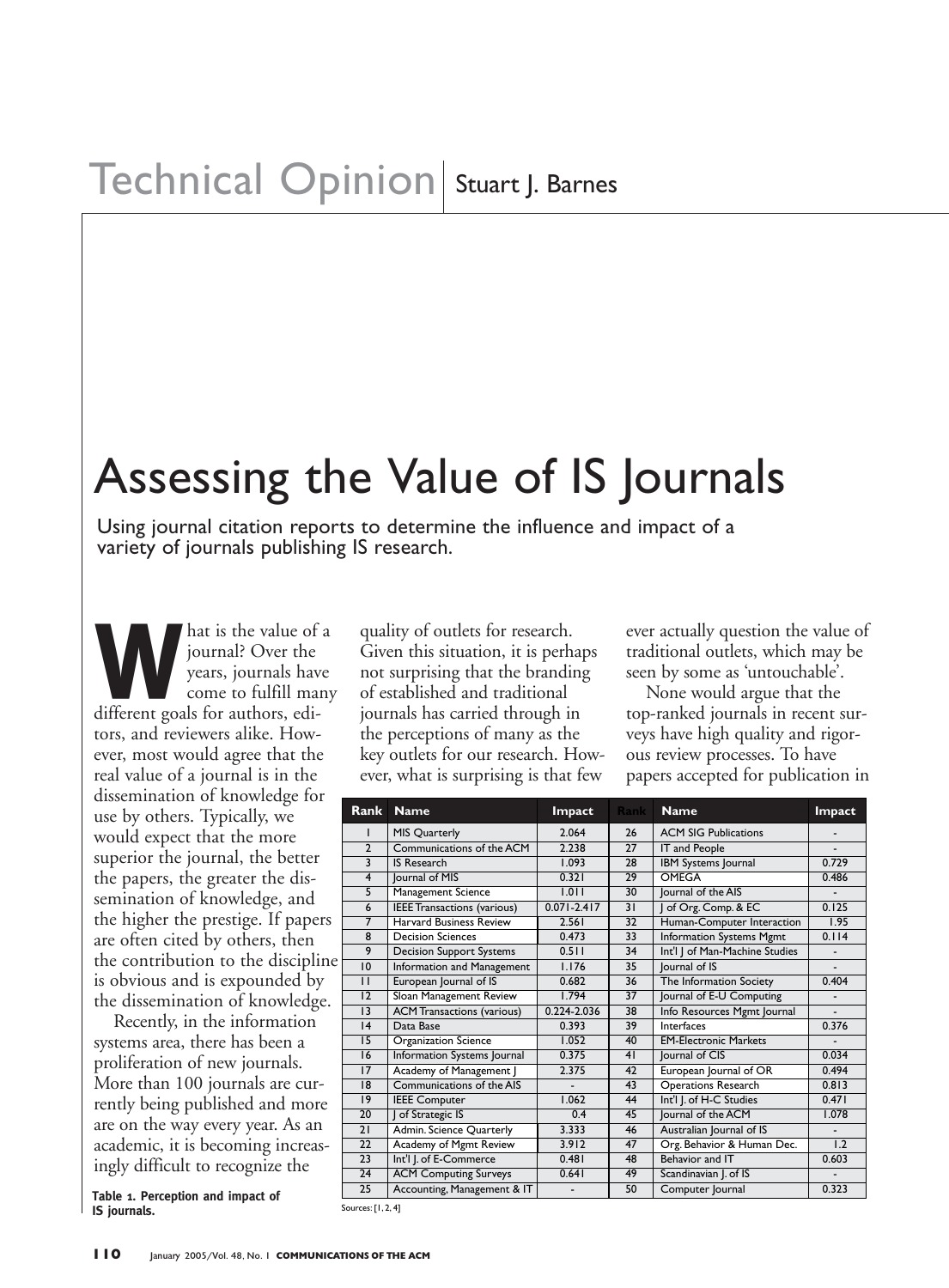# Assessing the Value of IS Journals

Using journal citation reports to determine the influence and impact of a variety of journals publishing IS research.

**WARE IS THE VALUE OF A SERVIET SHEAD CONTROLLER SURFAINE STATE OF A LIFE STATE OF A LIFE STATE STATE STATE STATE STATE STATE STATE STATE STATE STATE STATE STATE STATE STATE STATE STATE STATE STATE STATE STATE STATE STATE** journal? Over the years, journals have come to fulfill many tors, and reviewers alike. However, most would agree that the real value of a journal is in the dissemination of knowledge for use by others. Typically, we would expect that the more superior the journal, the better the papers, the greater the dissemination of knowledge, and the higher the prestige. If papers are often cited by others, then the contribution to the discipline is obvious and is expounded by the dissemination of knowledge.

Recently, in the information systems area, there has been a proliferation of new journals. More than 100 journals are currently being published and more are on the way every year. As an academic, it is becoming increasingly difficult to recognize the

0.323 **Table 1. Perception and impact of IS journals.**

quality of outlets for research. Given this situation, it is perhaps not surprising that the branding of established and traditional journals has carried through in the perceptions of many as the key outlets for our research. However, what is surprising is that few

ever actually question the value of traditional outlets, which may be seen by some as 'untouchable'.

None would argue that the top-ranked journals in recent surveys have high quality and rigorous review processes. To have papers accepted for publication in

| Rank            | <b>Name</b>                        | Impact          | Rank | <b>Name</b>                    | Impact                       |
|-----------------|------------------------------------|-----------------|------|--------------------------------|------------------------------|
|                 | MIS Quarterly                      | 2.064           | 26   | <b>ACM SIG Publications</b>    |                              |
| $\overline{2}$  | Communications of the ACM          | 2.238           | 27   | IT and People                  |                              |
| $\overline{3}$  | IS Research                        | 1.093           | 28   | <b>IBM</b> Systems Journal     | 0.729                        |
| 4               | Journal of MIS                     | 0.321           | 29   | <b>OMEGA</b>                   | 0.486                        |
| $\overline{5}$  | Management Science                 | 1.011           | 30   | lournal of the AIS             |                              |
| 6               | <b>IEEE Transactions (various)</b> | $0.071 - 2.417$ | 31   | of Org. Comp. & EC             | 0.125                        |
| 7               | Harvard Business Review            | 2.561           | 32   | Human-Computer Interaction     | 1.95                         |
| 8               | <b>Decision Sciences</b>           | 0.473           | 33   | Information Systems Mgmt       | 0.114                        |
| 9               | <b>Decision Support Systems</b>    | 0.511           | 34   | Int'l J of Man-Machine Studies | $\overline{\phantom{a}}$     |
| 10              | Information and Management         | 1.176           | 35   | lournal of IS                  | $\qquad \qquad \blacksquare$ |
| $\mathbf{H}$    | European Journal of IS             | 0.682           | 36   | The Information Society        | 0.404                        |
| 12              | Sloan Management Review            | 1.794           | 37   | Journal of E-U Computing       |                              |
| $\overline{13}$ | <b>ACM</b> Transactions (various)  | 0.224-2.036     | 38   | Info Resources Mgmt Journal    |                              |
| 4               | Data Base                          | 0.393           | 39   | Interfaces                     | 0.376                        |
| $\overline{15}$ | <b>Organization Science</b>        | 1.052           | 40   | <b>EM-Electronic Markets</b>   |                              |
| 16              | Information Systems Journal        | 0.375           | 41   | lournal of CIS                 | 0.034                        |
| 17              | Academy of Management              | 2.375           | 42   | European Journal of OR         | 0.494                        |
| 18              | Communications of the AIS          |                 | 43   | <b>Operations Research</b>     | 0.813                        |
| 19              | <b>IEEE Computer</b>               | 1.062           | 44   | Int'l J. of H-C Studies        | 0.471                        |
| 20              | of Strategic IS                    | 0.4             | 45   | Journal of the ACM             | 1.078                        |
| 21              | Admin. Science Quarterly           | 3.333           | 46   | Australian Journal of IS       | ٠                            |
| 22              | Academy of Mgmt Review             | 3.912           | 47   | Org. Behavior & Human Dec.     | 1.2                          |
| 23              | Int'l J. of E-Commerce             | 0.481           | 48   | Behavior and IT                | 0.603                        |
| 24              | <b>ACM Computing Surveys</b>       | 0.641           | 49   | Scandinavian J. of IS          | $\qquad \qquad \blacksquare$ |
| $\overline{25}$ | Accounting, Management & IT        | $\overline{a}$  | 50   | Computer Journal               | 0.323                        |

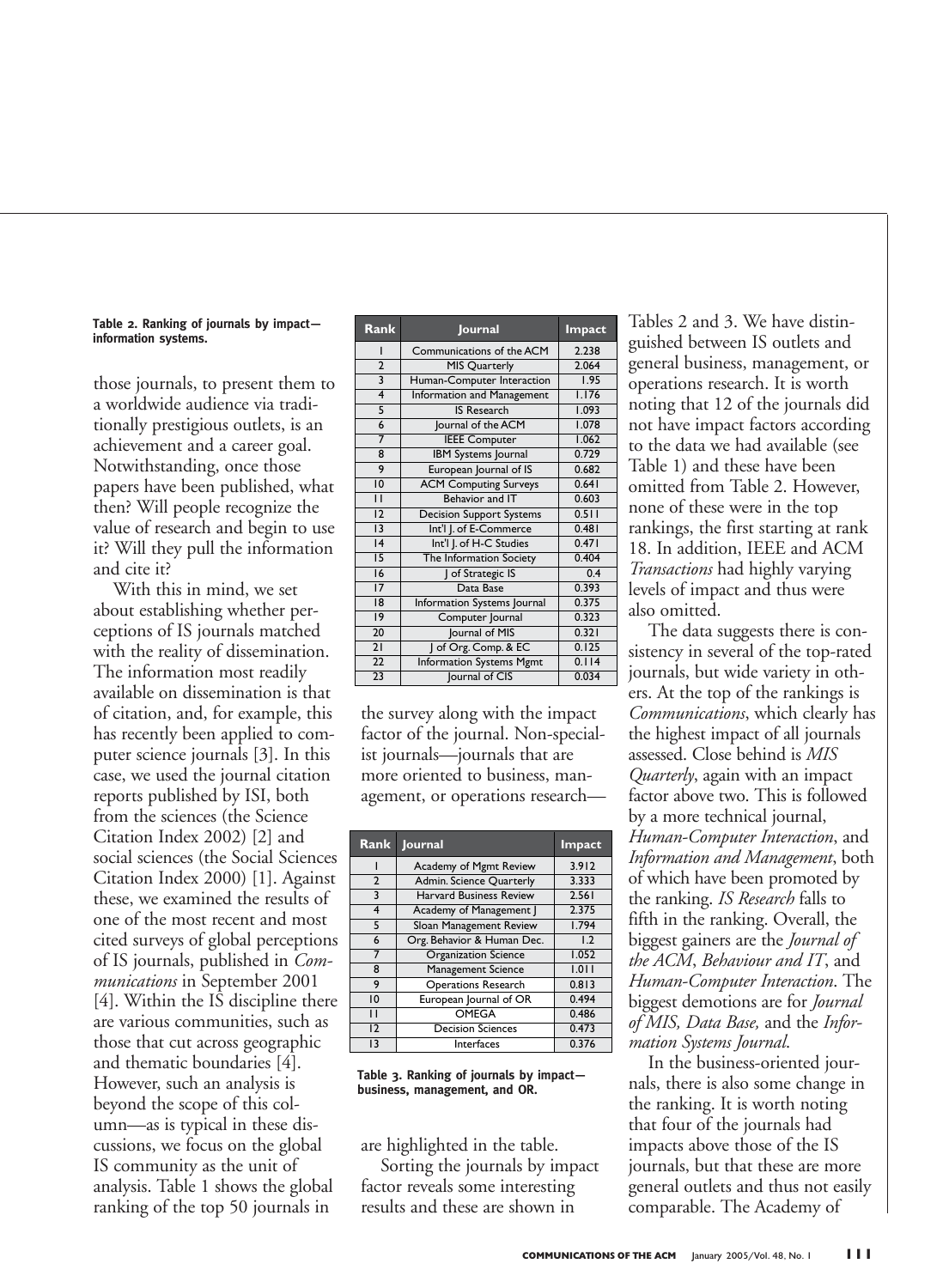#### **Table 2. Ranking of journals by impact information systems.**

those journals, to present them to a worldwide audience via traditionally prestigious outlets, is an achievement and a career goal. Notwithstanding, once those papers have been published, what then? Will people recognize the value of research and begin to use it? Will they pull the information and cite it?

With this in mind, we set about establishing whether perceptions of IS journals matched with the reality of dissemination. The information most readily available on dissemination is that of citation, and, for example, this has recently been applied to computer science journals [3]. In this case, we used the journal citation reports published by ISI, both from the sciences (the Science Citation Index 2002) [2] and social sciences (the Social Sciences Citation Index 2000) [1]. Against these, we examined the results of one of the most recent and most cited surveys of global perceptions of IS journals, published in *Communications* in September 2001 [4]. Within the IS discipline there are various communities, such as those that cut across geographic and thematic boundaries [4]. However, such an analysis is beyond the scope of this column—as is typical in these discussions, we focus on the global IS community as the unit of analysis. Table 1 shows the global ranking of the top 50 journals in

| Rank                    | Journ <u>al</u>                 | Impact |
|-------------------------|---------------------------------|--------|
|                         | Communications of the ACM       | 2.238  |
| $\overline{2}$          | <b>MIS Quarterly</b>            | 2.064  |
| $\overline{\mathbf{3}}$ | Human-Computer Interaction      | 1.95   |
| $\overline{4}$          | Information and Management      | 1.176  |
| $\overline{5}$          | <b>IS Research</b>              | 1.093  |
| $\overline{6}$          | Journal of the ACM              | 1.078  |
| $\overline{7}$          | <b>IEEE Computer</b>            | 1.062  |
| 8                       | <b>IBM Systems Journal</b>      | 0.729  |
| 9                       | European Journal of IS          | 0.682  |
| 10                      | <b>ACM Computing Surveys</b>    | 0.641  |
| $\mathbf{H}$            | Behavior and IT                 | 0.603  |
| $\overline{12}$         | <b>Decision Support Systems</b> | 0.511  |
| 3                       | Int'l J. of E-Commerce          | 0.481  |
| 4                       | Int'l J. of H-C Studies         | 0.471  |
| 15                      | The Information Society         | 0.404  |
| 16                      | of Strategic IS                 | 0.4    |
| $\overline{17}$         | Data Base                       | 0.393  |
| 18                      | Information Systems Journal     | 0.375  |
| 9                       | Computer Journal                | 0.323  |
| 20                      | Journal of MIS                  | 0.321  |
| 21                      | of Org. Comp. & EC              | 0.125  |
| 22                      | <b>Information Systems Mgmt</b> | 0.114  |
| $\overline{23}$         | Journal of CIS                  | 0.034  |

the survey along with the impact factor of the journal. Non-specialist journals—journals that are more oriented to business, management, or operations research—

|                 | Rank Journal                    | Impact |
|-----------------|---------------------------------|--------|
|                 | Academy of Mgmt Review          | 3.912  |
| $\overline{2}$  | <b>Admin. Science Quarterly</b> | 3.333  |
| 3               | <b>Harvard Business Review</b>  | 2.561  |
| 4               | Academy of Management           | 2.375  |
| 5               | Sloan Management Review         | 1.794  |
| 6               | Org. Behavior & Human Dec.      | 1.2    |
| 7               | <b>Organization Science</b>     | 1.052  |
| 8               | Management Science              | 1.011  |
| 9               | Operations Research             | 0.813  |
| 10              | European Journal of OR          | 0.494  |
| п               | OMEGA                           | 0.486  |
| 12              | <b>Decision Sciences</b>        | 0.473  |
| $\overline{13}$ | Interfaces                      | 0.376  |

#### **Table 3. Ranking of journals by impact business, management, and OR.**

are highlighted in the table.

Sorting the journals by impact factor reveals some interesting results and these are shown in

Tables 2 and 3. We have distinguished between IS outlets and general business, management, or operations research. It is worth noting that 12 of the journals did not have impact factors according to the data we had available (see Table 1) and these have been omitted from Table 2. However, none of these were in the top rankings, the first starting at rank 18. In addition, IEEE and ACM *Transactions* had highly varying levels of impact and thus were also omitted.

The data suggests there is consistency in several of the top-rated journals, but wide variety in others. At the top of the rankings is *Communications*, which clearly has the highest impact of all journals assessed. Close behind is *MIS Quarterly*, again with an impact factor above two. This is followed by a more technical journal, *Human-Computer Interaction*, and *Information and Management*, both of which have been promoted by the ranking. *IS Research* falls to fifth in the ranking. Overall, the biggest gainers are the *Journal of the ACM*, *Behaviour and IT*, and *Human-Computer Interaction*. The biggest demotions are for *Journal of MIS, Data Base,* and the *Information Systems Journal*.

In the business-oriented journals, there is also some change in the ranking. It is worth noting that four of the journals had impacts above those of the IS journals, but that these are more general outlets and thus not easily comparable. The Academy of